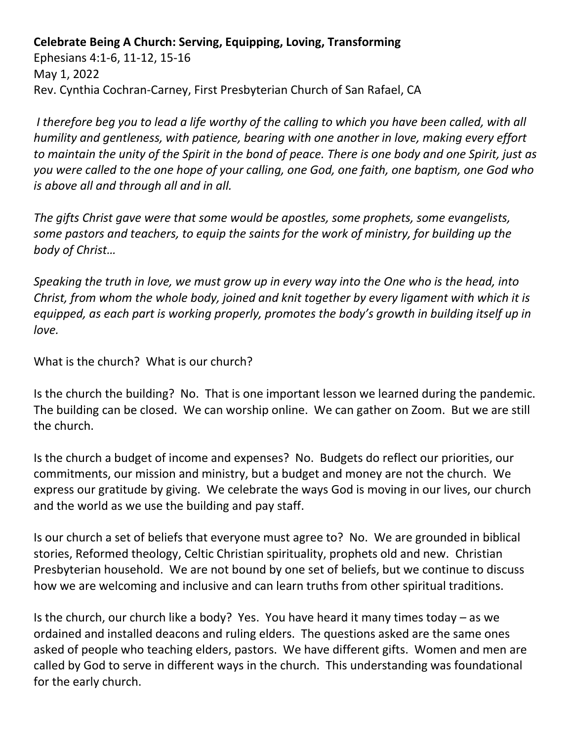**Celebrate Being A Church: Serving, Equipping, Loving, Transforming** 

Ephesians 4:1-6, 11-12, 15-16 May 1, 2022 Rev. Cynthia Cochran-Carney, First Presbyterian Church of San Rafael, CA

*I therefore beg you to lead a life worthy of the calling to which you have been called, with all humility and gentleness, with patience, bearing with one another in love, making every effort to maintain the unity of the Spirit in the bond of peace. There is one body and one Spirit, just as you were called to the one hope of your calling, one God, one faith, one baptism, one God who is above all and through all and in all.*

*The gifts Christ gave were that some would be apostles, some prophets, some evangelists, some pastors and teachers, to equip the saints for the work of ministry, for building up the body of Christ…*

*Speaking the truth in love, we must grow up in every way into the One who is the head, into Christ, from whom the whole body, joined and knit together by every ligament with which it is equipped, as each part is working properly, promotes the body's growth in building itself up in love.*

What is the church? What is our church?

Is the church the building? No. That is one important lesson we learned during the pandemic. The building can be closed. We can worship online. We can gather on Zoom. But we are still the church.

Is the church a budget of income and expenses? No. Budgets do reflect our priorities, our commitments, our mission and ministry, but a budget and money are not the church. We express our gratitude by giving. We celebrate the ways God is moving in our lives, our church and the world as we use the building and pay staff.

Is our church a set of beliefs that everyone must agree to? No. We are grounded in biblical stories, Reformed theology, Celtic Christian spirituality, prophets old and new. Christian Presbyterian household. We are not bound by one set of beliefs, but we continue to discuss how we are welcoming and inclusive and can learn truths from other spiritual traditions.

Is the church, our church like a body? Yes. You have heard it many times today – as we ordained and installed deacons and ruling elders. The questions asked are the same ones asked of people who teaching elders, pastors. We have different gifts. Women and men are called by God to serve in different ways in the church. This understanding was foundational for the early church.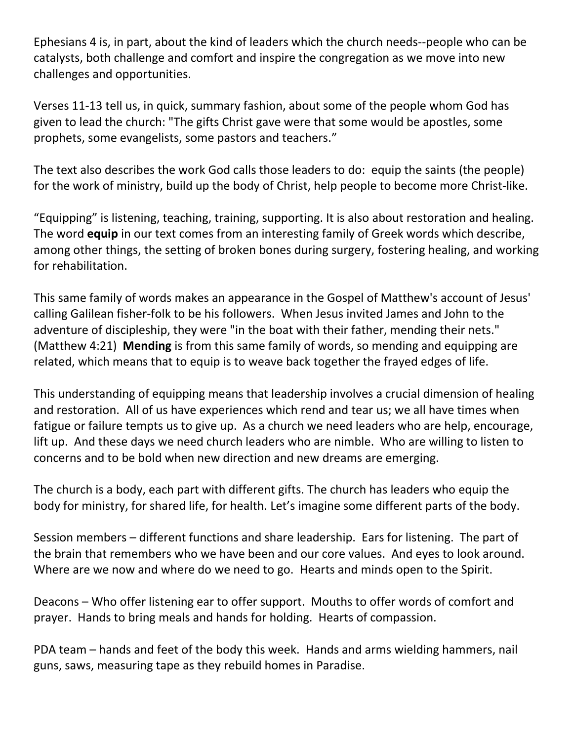Ephesians 4 is, in part, about the kind of leaders which the church needs--people who can be catalysts, both challenge and comfort and inspire the congregation as we move into new challenges and opportunities.

Verses 11-13 tell us, in quick, summary fashion, about some of the people whom God has given to lead the church: "The gifts Christ gave were that some would be apostles, some prophets, some evangelists, some pastors and teachers."

The text also describes the work God calls those leaders to do: equip the saints (the people) for the work of ministry, build up the body of Christ, help people to become more Christ-like.

"Equipping" is listening, teaching, training, supporting. It is also about restoration and healing. The word **equip** in our text comes from an interesting family of Greek words which describe, among other things, the setting of broken bones during surgery, fostering healing, and working for rehabilitation.

This same family of words makes an appearance in the Gospel of Matthew's account of Jesus' calling Galilean fisher-folk to be his followers. When Jesus invited James and John to the adventure of discipleship, they were "in the boat with their father, mending their nets." (Matthew 4:21) **Mending** is from this same family of words, so mending and equipping are related, which means that to equip is to weave back together the frayed edges of life.

This understanding of equipping means that leadership involves a crucial dimension of healing and restoration. All of us have experiences which rend and tear us; we all have times when fatigue or failure tempts us to give up. As a church we need leaders who are help, encourage, lift up. And these days we need church leaders who are nimble. Who are willing to listen to concerns and to be bold when new direction and new dreams are emerging.

The church is a body, each part with different gifts. The church has leaders who equip the body for ministry, for shared life, for health. Let's imagine some different parts of the body.

Session members – different functions and share leadership. Ears for listening. The part of the brain that remembers who we have been and our core values. And eyes to look around. Where are we now and where do we need to go. Hearts and minds open to the Spirit.

Deacons – Who offer listening ear to offer support. Mouths to offer words of comfort and prayer. Hands to bring meals and hands for holding. Hearts of compassion.

PDA team – hands and feet of the body this week. Hands and arms wielding hammers, nail guns, saws, measuring tape as they rebuild homes in Paradise.